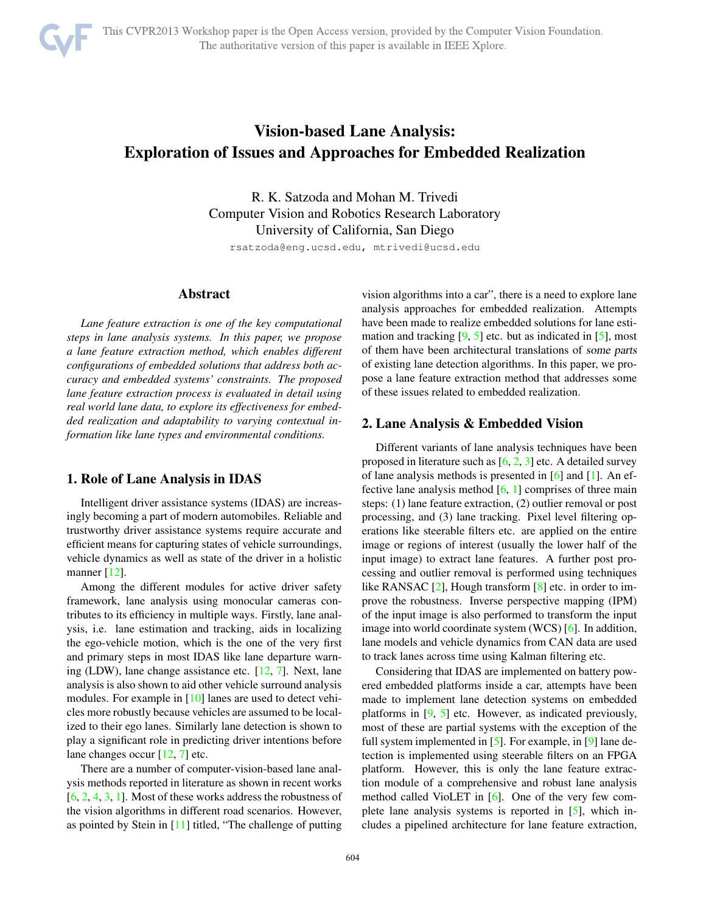

# Vision-based Lane Analysis: Exploration of Issues and Approaches for Embedded Realization

R. K. Satzoda and Mohan M. Trivedi Computer Vision and Robotics Research Laboratory University of California, San Diego

rsatzoda@eng.ucsd.edu, mtrivedi@ucsd.edu

## Abstract

*Lane feature extraction is one of the key computational steps in lane analysis systems. In this paper, we propose a lane feature extraction method, which enables different configurations of embedded solutions that address both accuracy and embedded systems' constraints. The proposed lane feature extraction process is evaluated in detail using real world lane data, to explore its effectiveness for embedded realization and adaptability to varying contextual information like lane types and environmental conditions.*

### 1. Role of Lane Analysis in IDAS

Intelligent driver assistance systems (IDAS) are increasingly becoming a part of modern automobiles. Reliable and trustworthy driver assistance systems require accurate and efficient means for capturing states of vehicle surroundings, vehicle dynamics as well as state of the driver in a holistic manner [12].

Among the different modules for active driver safety framework, lane analysis using monocular cameras contributes to its efficiency in multiple ways. Firstly, lane analysis, i.e. lane estimation and tracking, aids in localizing the ego-vehicle motion, which is the one of the very first and primary steps in most IDAS like lane departure warning (LDW), lane change assistance etc. [12, 7]. Next, lane analysis is also shown to aid other vehicle surround analysis modules. For example in [10] lanes are used to detect vehicles more robustly because vehicles are assumed to be localized to their ego lanes. Similarly lane detection is shown to play a significant role in predicting driver intentions before lane changes occur [12, 7] etc.

There are a number of computer-vision-based lane analysis methods reported in literature as shown in recent works  $[6, 2, 4, 3, 1]$ . Most of these works address the robustness of the vision algorithms in different road scenarios. However, as pointed by Stein in [11] titled, "The challenge of putting

vision algorithms into a car", there is a need to explore lane analysis approaches for embedded realization. Attempts have been made to realize embedded solutions for lane estimation and tracking  $[9, 5]$  etc. but as indicated in  $[5]$ , most of them have been architectural translations of some parts of existing lane detection algorithms. In this paper, we propose a lane feature extraction method that addresses some of these issues related to embedded realization.

# 2. Lane Analysis & Embedded Vision

Different variants of lane analysis techniques have been proposed in literature such as  $[6, 2, 3]$  etc. A detailed survey of lane analysis methods is presented in [6] and [1]. An effective lane analysis method  $[6, 1]$  comprises of three main steps: (1) lane feature extraction, (2) outlier removal or post processing, and (3) lane tracking. Pixel level filtering operations like steerable filters etc. are applied on the entire image or regions of interest (usually the lower half of the input image) to extract lane features. A further post processing and outlier removal is performed using techniques like RANSAC [2], Hough transform [8] etc. in order to improve the robustness. Inverse perspective mapping (IPM) of the input image is also performed to transform the input image into world coordinate system (WCS) [6]. In addition, lane models and vehicle dynamics from CAN data are used to track lanes across time using Kalman filtering etc.

Considering that IDAS are implemented on battery powered embedded platforms inside a car, attempts have been made to implement lane detection systems on embedded platforms in  $[9, 5]$  etc. However, as indicated previously, most of these are partial systems with the exception of the full system implemented in  $[5]$ . For example, in  $[9]$  lane detection is implemented using steerable filters on an FPGA platform. However, this is only the lane feature extraction module of a comprehensive and robust lane analysis method called VioLET in [6]. One of the very few complete lane analysis systems is reported in [5], which includes a pipelined architecture for lane feature extraction,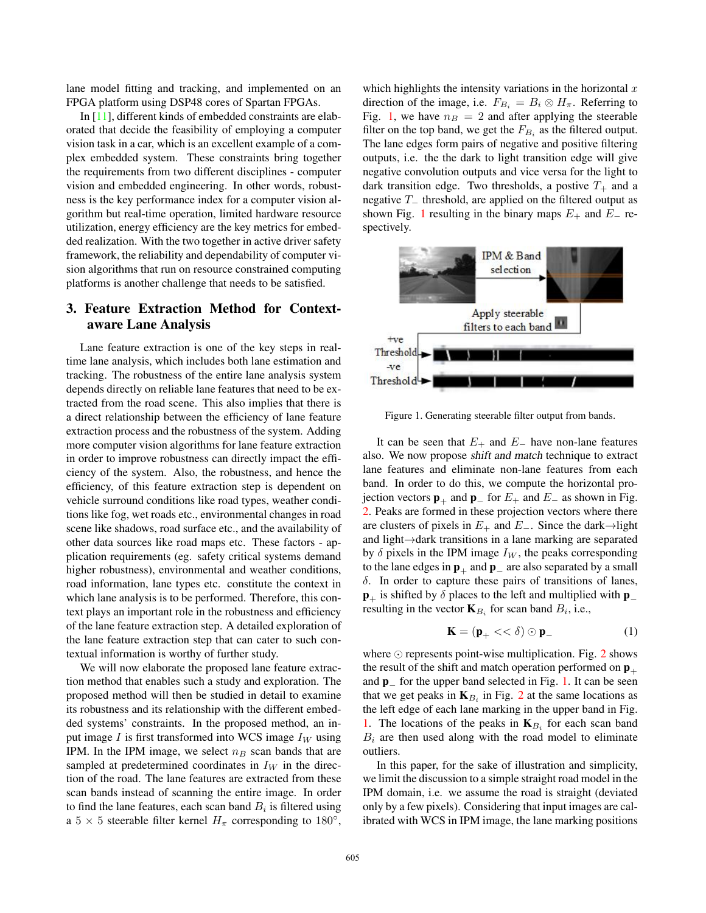lane model fitting and tracking, and implemented on an FPGA platform using DSP48 cores of Spartan FPGAs.

In [11], different kinds of embedded constraints are elaborated that decide the feasibility of employing a computer vision task in a car, which is an excellent example of a complex embedded system. These constraints bring together the requirements from two different disciplines - computer vision and embedded engineering. In other words, robustness is the key performance index for a computer vision algorithm but real-time operation, limited hardware resource utilization, energy efficiency are the key metrics for embedded realization. With the two together in active driver safety framework, the reliability and dependability of computer vision algorithms that run on resource constrained computing platforms is another challenge that needs to be satisfied.

# 3. Feature Extraction Method for Contextaware Lane Analysis

Lane feature extraction is one of the key steps in realtime lane analysis, which includes both lane estimation and tracking. The robustness of the entire lane analysis system depends directly on reliable lane features that need to be extracted from the road scene. This also implies that there is a direct relationship between the efficiency of lane feature extraction process and the robustness of the system. Adding more computer vision algorithms for lane feature extraction in order to improve robustness can directly impact the efficiency of the system. Also, the robustness, and hence the efficiency, of this feature extraction step is dependent on vehicle surround conditions like road types, weather conditions like fog, wet roads etc., environmental changes in road scene like shadows, road surface etc., and the availability of other data sources like road maps etc. These factors - application requirements (eg. safety critical systems demand higher robustness), environmental and weather conditions, road information, lane types etc. constitute the context in which lane analysis is to be performed. Therefore, this context plays an important role in the robustness and efficiency of the lane feature extraction step. A detailed exploration of the lane feature extraction step that can cater to such contextual information is worthy of further study.

We will now elaborate the proposed lane feature extraction method that enables such a study and exploration. The proposed method will then be studied in detail to examine its robustness and its relationship with the different embedded systems' constraints. In the proposed method, an input image  $I$  is first transformed into WCS image  $I_W$  using IPM. In the IPM image, we select  $n_B$  scan bands that are sampled at predetermined coordinates in  $I_W$  in the direction of the road. The lane features are extracted from these scan bands instead of scanning the entire image. In order to find the lane features, each scan band  $B_i$  is filtered using a 5  $\times$  5 steerable filter kernel  $H_{\pi}$  corresponding to 180°, which highlights the intensity variations in the horizontal  $x$ direction of the image, i.e.  $F_{B_i} = B_i \otimes H_{\pi}$ . Referring to Fig. 1, we have  $n_B = 2$  and after applying the steerable filter on the top band, we get the  $F_{B_i}$  as the filtered output. The lane edges form pairs of negative and positive filtering outputs, i.e. the the dark to light transition edge will give negative convolution outputs and vice versa for the light to dark transition edge. Two thresholds, a postive  $T_+$  and a negative T<sub>−</sub> threshold, are applied on the filtered output as shown Fig. 1 resulting in the binary maps  $E_+$  and  $E_-\$ respectively.



Figure 1. Generating steerable filter output from bands.

It can be seen that  $E_+$  and  $E_-$  have non-lane features also. We now propose shift and match technique to extract lane features and eliminate non-lane features from each band. In order to do this, we compute the horizontal projection vectors  $\mathbf{p}_+$  and  $\mathbf{p}_-$  for  $E_+$  and  $E_-$  as shown in Fig. 2. Peaks are formed in these projection vectors where there are clusters of pixels in  $E_+$  and  $E_-$ . Since the dark→light and light→dark transitions in a lane marking are separated by  $\delta$  pixels in the IPM image  $I_W$ , the peaks corresponding to the lane edges in  $\mathbf{p}_+$  and  $\mathbf{p}_-$  are also separated by a small  $\delta$ . In order to capture these pairs of transitions of lanes,  $\mathbf{p}_+$  is shifted by  $\delta$  places to the left and multiplied with  $\mathbf{p}_$ resulting in the vector  $\mathbf{K}_{B_i}$  for scan band  $B_i$ , i.e.,

$$
\mathbf{K} = (\mathbf{p}_{+} << \delta) \odot \mathbf{p}_{-}
$$
 (1)

where  $\odot$  represents point-wise multiplication. Fig. 2 shows the result of the shift and match operation performed on  $\mathbf{p}_+$ and p<sup>−</sup> for the upper band selected in Fig. 1. It can be seen that we get peaks in  $\mathbf{K}_{B_i}$  in Fig. 2 at the same locations as the left edge of each lane marking in the upper band in Fig. 1. The locations of the peaks in  $\mathbf{K}_{B_i}$  for each scan band  $B_i$  are then used along with the road model to eliminate outliers.

In this paper, for the sake of illustration and simplicity, we limit the discussion to a simple straight road model in the IPM domain, i.e. we assume the road is straight (deviated only by a few pixels). Considering that input images are calibrated with WCS in IPM image, the lane marking positions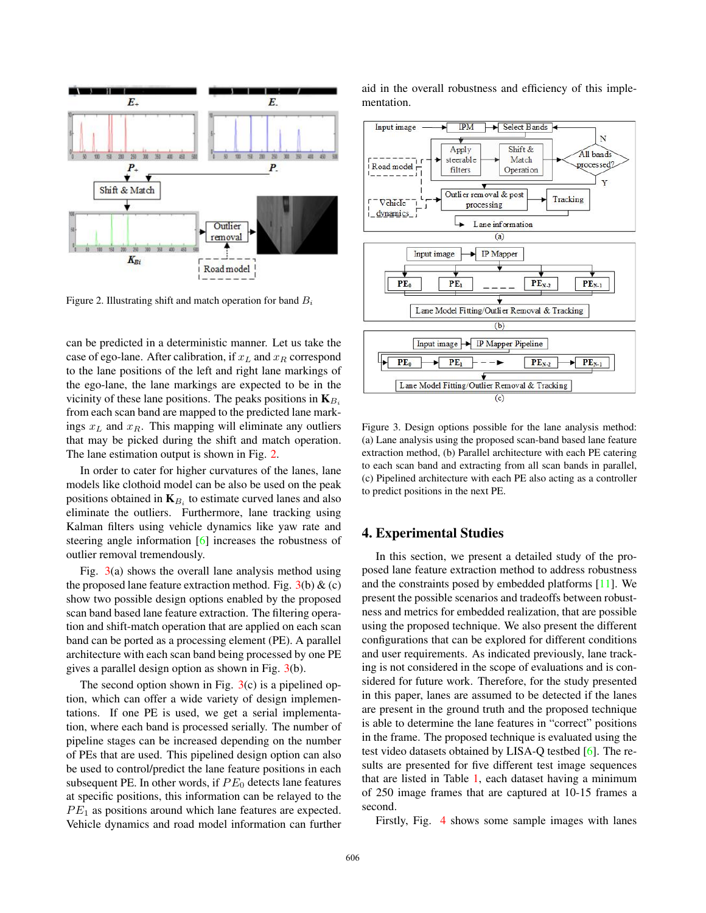

Figure 2. Illustrating shift and match operation for band  $B_i$ 

can be predicted in a deterministic manner. Let us take the case of ego-lane. After calibration, if  $x_L$  and  $x_R$  correspond to the lane positions of the left and right lane markings of the ego-lane, the lane markings are expected to be in the vicinity of these lane positions. The peaks positions in  $\mathbf{K}_{B_i}$ from each scan band are mapped to the predicted lane markings  $x_L$  and  $x_R$ . This mapping will eliminate any outliers that may be picked during the shift and match operation. The lane estimation output is shown in Fig. 2.

In order to cater for higher curvatures of the lanes, lane models like clothoid model can be also be used on the peak positions obtained in  $K_{B_i}$  to estimate curved lanes and also eliminate the outliers. Furthermore, lane tracking using Kalman filters using vehicle dynamics like yaw rate and steering angle information [6] increases the robustness of outlier removal tremendously.

Fig.  $3(a)$  shows the overall lane analysis method using the proposed lane feature extraction method. Fig.  $3(b) \& (c)$ show two possible design options enabled by the proposed scan band based lane feature extraction. The filtering operation and shift-match operation that are applied on each scan band can be ported as a processing element (PE). A parallel architecture with each scan band being processed by one PE gives a parallel design option as shown in Fig. 3(b).

The second option shown in Fig.  $3(c)$  is a pipelined option, which can offer a wide variety of design implementations. If one PE is used, we get a serial implementation, where each band is processed serially. The number of pipeline stages can be increased depending on the number of PEs that are used. This pipelined design option can also be used to control/predict the lane feature positions in each subsequent PE. In other words, if  $PE_0$  detects lane features at specific positions, this information can be relayed to the  $PE<sub>1</sub>$  as positions around which lane features are expected. Vehicle dynamics and road model information can further





Figure 3. Design options possible for the lane analysis method: (a) Lane analysis using the proposed scan-band based lane feature extraction method, (b) Parallel architecture with each PE catering to each scan band and extracting from all scan bands in parallel, (c) Pipelined architecture with each PE also acting as a controller to predict positions in the next PE.

## 4. Experimental Studies

In this section, we present a detailed study of the proposed lane feature extraction method to address robustness and the constraints posed by embedded platforms [11]. We present the possible scenarios and tradeoffs between robustness and metrics for embedded realization, that are possible using the proposed technique. We also present the different configurations that can be explored for different conditions and user requirements. As indicated previously, lane tracking is not considered in the scope of evaluations and is considered for future work. Therefore, for the study presented in this paper, lanes are assumed to be detected if the lanes are present in the ground truth and the proposed technique is able to determine the lane features in "correct" positions in the frame. The proposed technique is evaluated using the test video datasets obtained by LISA-Q testbed [6]. The results are presented for five different test image sequences that are listed in Table 1, each dataset having a minimum of 250 image frames that are captured at 10-15 frames a second.

Firstly, Fig. 4 shows some sample images with lanes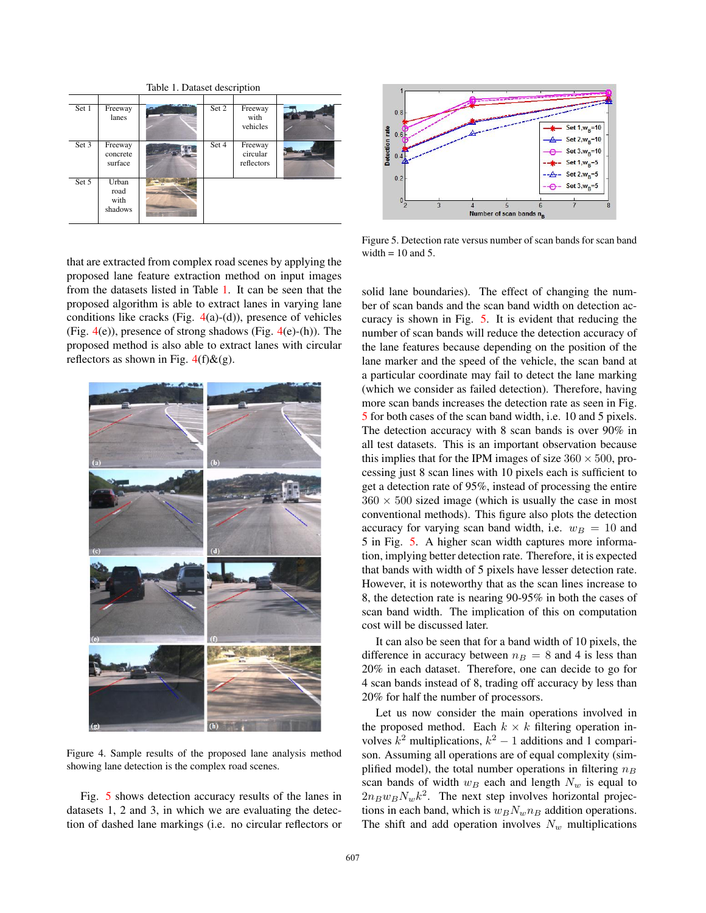| Table 1. Dataset description |                                  |                  |       |                                   |  |  |  |  |
|------------------------------|----------------------------------|------------------|-------|-----------------------------------|--|--|--|--|
|                              |                                  |                  |       |                                   |  |  |  |  |
| Set 1                        | Freeway<br>lanes                 | <b>PT. AMARA</b> | Set 2 | Freeway<br>with<br>vehicles       |  |  |  |  |
| Set 3                        | Freeway<br>concrete<br>surface   |                  | Set 4 | Freeway<br>circular<br>reflectors |  |  |  |  |
| Set 5                        | Urban<br>road<br>with<br>shadows |                  |       |                                   |  |  |  |  |



Figure 5. Detection rate versus number of scan bands for scan band width  $= 10$  and 5.

that are extracted from complex road scenes by applying the proposed lane feature extraction method on input images from the datasets listed in Table 1. It can be seen that the proposed algorithm is able to extract lanes in varying lane conditions like cracks (Fig.  $4(a)-(d)$ ), presence of vehicles (Fig.  $4(e)$ ), presence of strong shadows (Fig.  $4(e)$ -(h)). The proposed method is also able to extract lanes with circular reflectors as shown in Fig.  $4(f) \& (g)$ .



Figure 4. Sample results of the proposed lane analysis method showing lane detection is the complex road scenes.

Fig. 5 shows detection accuracy results of the lanes in datasets 1, 2 and 3, in which we are evaluating the detection of dashed lane markings (i.e. no circular reflectors or

solid lane boundaries). The effect of changing the number of scan bands and the scan band width on detection accuracy is shown in Fig. 5. It is evident that reducing the number of scan bands will reduce the detection accuracy of the lane features because depending on the position of the lane marker and the speed of the vehicle, the scan band at a particular coordinate may fail to detect the lane marking (which we consider as failed detection). Therefore, having more scan bands increases the detection rate as seen in Fig. 5 for both cases of the scan band width, i.e. 10 and 5 pixels. The detection accuracy with 8 scan bands is over 90% in all test datasets. This is an important observation because this implies that for the IPM images of size  $360 \times 500$ , processing just 8 scan lines with 10 pixels each is sufficient to get a detection rate of 95%, instead of processing the entire  $360 \times 500$  sized image (which is usually the case in most conventional methods). This figure also plots the detection accuracy for varying scan band width, i.e.  $w_B = 10$  and 5 in Fig. 5. A higher scan width captures more information, implying better detection rate. Therefore, it is expected that bands with width of 5 pixels have lesser detection rate. However, it is noteworthy that as the scan lines increase to 8, the detection rate is nearing 90-95% in both the cases of scan band width. The implication of this on computation cost will be discussed later.

It can also be seen that for a band width of 10 pixels, the difference in accuracy between  $n_B = 8$  and 4 is less than 20% in each dataset. Therefore, one can decide to go for 4 scan bands instead of 8, trading off accuracy by less than 20% for half the number of processors.

Let us now consider the main operations involved in the proposed method. Each  $k \times k$  filtering operation involves  $k^2$  multiplications,  $k^2 - 1$  additions and 1 comparison. Assuming all operations are of equal complexity (simplified model), the total number operations in filtering  $n_B$ scan bands of width  $w_B$  each and length  $N_w$  is equal to  $2n_Bw_BN_wk^2$ . The next step involves horizontal projections in each band, which is  $w_B N_w n_B$  addition operations. The shift and add operation involves  $N_w$  multiplications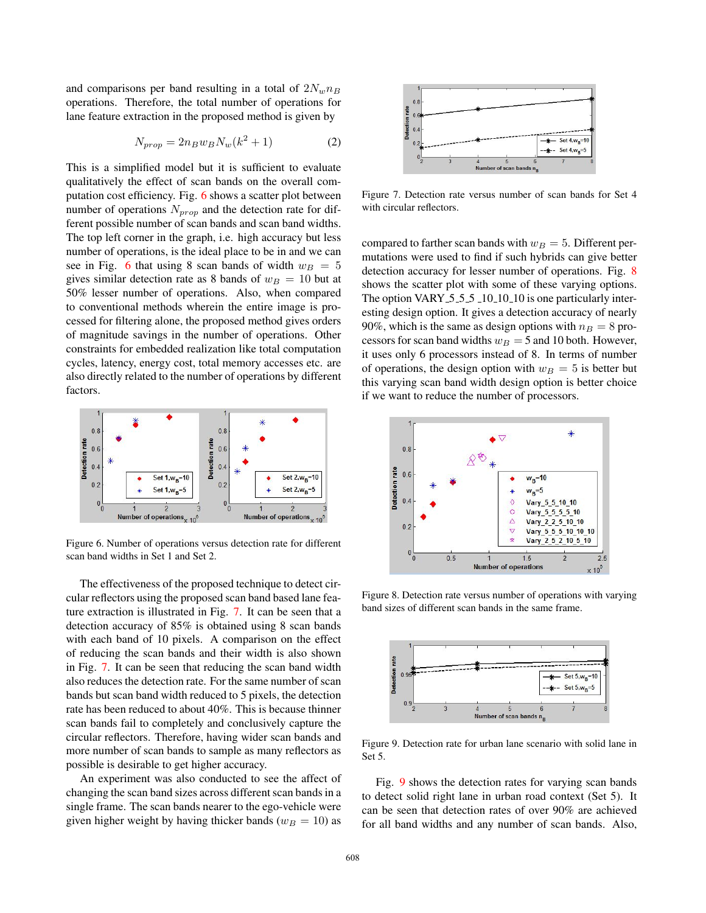and comparisons per band resulting in a total of  $2N_w n_B$ operations. Therefore, the total number of operations for lane feature extraction in the proposed method is given by

$$
N_{prop} = 2n_B w_B N_w (k^2 + 1) \tag{2}
$$

This is a simplified model but it is sufficient to evaluate qualitatively the effect of scan bands on the overall computation cost efficiency. Fig. 6 shows a scatter plot between number of operations  $N_{prop}$  and the detection rate for different possible number of scan bands and scan band widths. The top left corner in the graph, i.e. high accuracy but less number of operations, is the ideal place to be in and we can see in Fig. 6 that using 8 scan bands of width  $w_B = 5$ gives similar detection rate as 8 bands of  $w_B = 10$  but at 50% lesser number of operations. Also, when compared to conventional methods wherein the entire image is processed for filtering alone, the proposed method gives orders of magnitude savings in the number of operations. Other constraints for embedded realization like total computation cycles, latency, energy cost, total memory accesses etc. are also directly related to the number of operations by different factors.



Figure 6. Number of operations versus detection rate for different scan band widths in Set 1 and Set 2.

The effectiveness of the proposed technique to detect circular reflectors using the proposed scan band based lane feature extraction is illustrated in Fig. 7. It can be seen that a detection accuracy of 85% is obtained using 8 scan bands with each band of 10 pixels. A comparison on the effect of reducing the scan bands and their width is also shown in Fig. 7. It can be seen that reducing the scan band width also reduces the detection rate. For the same number of scan bands but scan band width reduced to 5 pixels, the detection rate has been reduced to about 40%. This is because thinner scan bands fail to completely and conclusively capture the circular reflectors. Therefore, having wider scan bands and more number of scan bands to sample as many reflectors as possible is desirable to get higher accuracy.

An experiment was also conducted to see the affect of changing the scan band sizes across different scan bands in a single frame. The scan bands nearer to the ego-vehicle were given higher weight by having thicker bands ( $w_B = 10$ ) as



Figure 7. Detection rate versus number of scan bands for Set 4 with circular reflectors.

compared to farther scan bands with  $w_B = 5$ . Different permutations were used to find if such hybrids can give better detection accuracy for lesser number of operations. Fig. 8 shows the scatter plot with some of these varying options. The option VARY  $5.5.5$   $10.10.10$  is one particularly interesting design option. It gives a detection accuracy of nearly 90%, which is the same as design options with  $n_B = 8$  processors for scan band widths  $w_B = 5$  and 10 both. However, it uses only 6 processors instead of 8. In terms of number of operations, the design option with  $w_B = 5$  is better but this varying scan band width design option is better choice if we want to reduce the number of processors.



Figure 8. Detection rate versus number of operations with varying band sizes of different scan bands in the same frame.



Figure 9. Detection rate for urban lane scenario with solid lane in Set 5.

Fig. 9 shows the detection rates for varying scan bands to detect solid right lane in urban road context (Set 5). It can be seen that detection rates of over 90% are achieved for all band widths and any number of scan bands. Also,